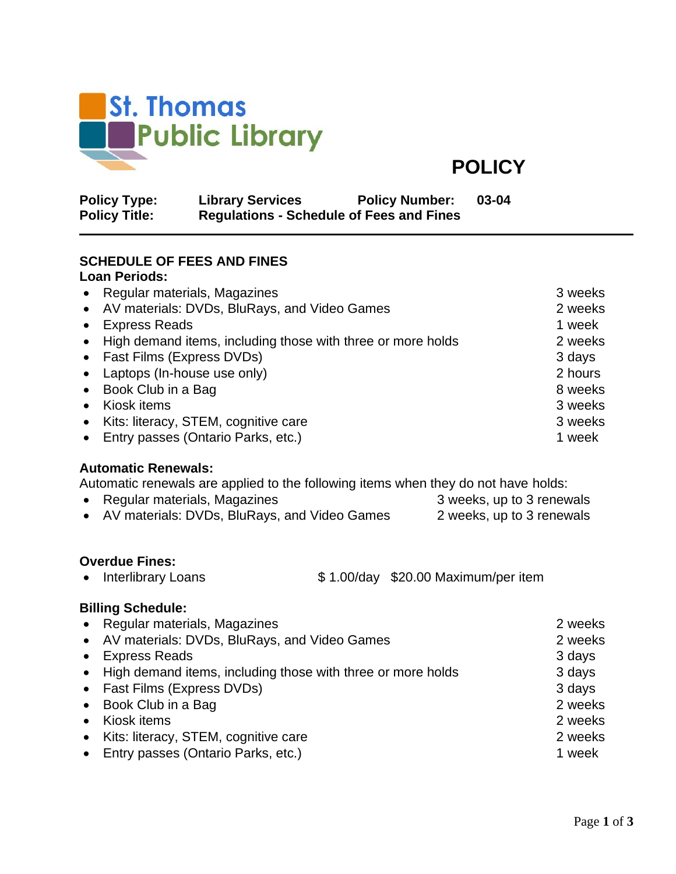

**POLICY**

| <b>Policy Type:</b>  | <b>Library Services</b>                         | <b>Policy Number:</b> | 03-04 |
|----------------------|-------------------------------------------------|-----------------------|-------|
| <b>Policy Title:</b> | <b>Regulations - Schedule of Fees and Fines</b> |                       |       |

## **SCHEDULE OF FEES AND FINES**

#### **Loan Periods:**

|           | • Regular materials, Magazines                                | 3 weeks |
|-----------|---------------------------------------------------------------|---------|
|           | • AV materials: DVDs, BluRays, and Video Games                | 2 weeks |
| $\bullet$ | <b>Express Reads</b>                                          | 1 week  |
|           | • High demand items, including those with three or more holds | 2 weeks |
|           | • Fast Films (Express DVDs)                                   | 3 days  |
|           | • Laptops (In-house use only)                                 | 2 hours |
|           | • Book Club in a Bag                                          | 8 weeks |
| $\bullet$ | Kiosk items                                                   | 3 weeks |
| $\bullet$ | Kits: literacy, STEM, cognitive care                          | 3 weeks |
|           | • Entry passes (Ontario Parks, etc.)                          | 1 week  |

#### **Automatic Renewals:**

Automatic renewals are applied to the following items when they do not have holds:

| • Regular materials, Magazines                 | 3 weeks, up to 3 renewals |
|------------------------------------------------|---------------------------|
| • AV materials: DVDs, BluRays, and Video Games | 2 weeks, up to 3 renewals |

### **Overdue Fines:**

• Interlibrary Loans \$ 1.00/day \$20.00 Maximum/per item

# **Billing Schedule:**

| • Regular materials, Magazines                                | 2 weeks |
|---------------------------------------------------------------|---------|
| • AV materials: DVDs, BluRays, and Video Games                | 2 weeks |
| • Express Reads                                               | 3 days  |
| • High demand items, including those with three or more holds | 3 days  |
| • Fast Films (Express DVDs)                                   | 3 days  |
| • Book Club in a Bag                                          | 2 weeks |
| • Kiosk items                                                 | 2 weeks |
| • Kits: literacy, STEM, cognitive care                        | 2 weeks |
| • Entry passes (Ontario Parks, etc.)                          | 1 week  |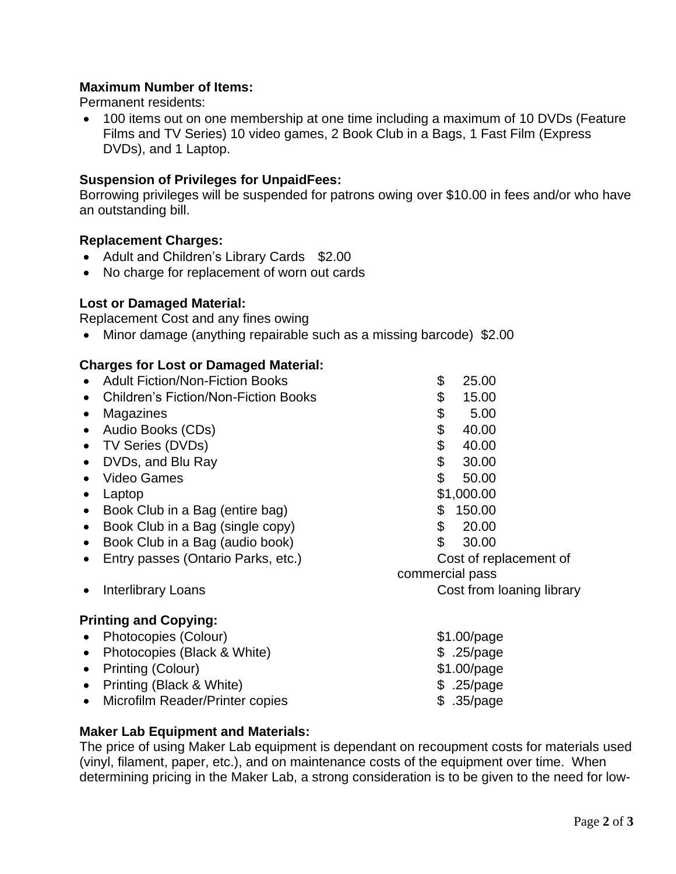### **Maximum Number of Items:**

Permanent residents:

• 100 items out on one membership at one time including a maximum of 10 DVDs (Feature Films and TV Series) 10 video games, 2 Book Club in a Bags, 1 Fast Film (Express DVDs), and 1 Laptop.

#### **Suspension of Privileges for UnpaidFees:**

Borrowing privileges will be suspended for patrons owing over \$10.00 in fees and/or who have an outstanding bill.

#### **Replacement Charges:**

- Adult and Children's Library Cards \$2.00
- No charge for replacement of worn out cards

#### **Lost or Damaged Material:**

Replacement Cost and any fines owing

• Minor damage (anything repairable such as a missing barcode) \$2.00

#### **Charges for Lost or Damaged Material:**

|           | <b>Adult Fiction/Non-Fiction Books</b>      | \$              | 25.00                     |  |
|-----------|---------------------------------------------|-----------------|---------------------------|--|
|           | <b>Children's Fiction/Non-Fiction Books</b> | \$              | 15.00                     |  |
| $\bullet$ | Magazines                                   | \$              | 5.00                      |  |
| $\bullet$ | Audio Books (CDs)                           | \$              | 40.00                     |  |
| $\bullet$ | TV Series (DVDs)                            | \$              | 40.00                     |  |
| $\bullet$ | DVDs, and Blu Ray                           | \$              | 30.00                     |  |
|           | <b>Video Games</b>                          | \$              | 50.00                     |  |
| $\bullet$ | Laptop                                      |                 | \$1,000.00                |  |
| $\bullet$ | Book Club in a Bag (entire bag)             | \$              | 150.00                    |  |
| $\bullet$ | Book Club in a Bag (single copy)            | \$              | 20.00                     |  |
| $\bullet$ | Book Club in a Bag (audio book)             | \$              | 30.00                     |  |
| $\bullet$ | Entry passes (Ontario Parks, etc.)          |                 | Cost of replacement of    |  |
|           |                                             | commercial pass |                           |  |
|           | <b>Interlibrary Loans</b>                   |                 | Cost from loaning library |  |
|           | <b>Printing and Copying:</b>                |                 |                           |  |
|           | Photocopies (Colour)                        |                 | $$1.00$ /page             |  |
| $\bullet$ | Photocopies (Black & White)                 |                 | \$ .25/page               |  |
| $\bullet$ | Printing (Colour)                           |                 | $$1.00$ /page             |  |
| $\bullet$ | Printing (Black & White)                    |                 | \$ .25/page               |  |
| $\bullet$ | Microfilm Reader/Printer copies             |                 | \$ .35/page               |  |
|           |                                             |                 |                           |  |

#### **Maker Lab Equipment and Materials:**

The price of using Maker Lab equipment is dependant on recoupment costs for materials used (vinyl, filament, paper, etc.), and on maintenance costs of the equipment over time. When determining pricing in the Maker Lab, a strong consideration is to be given to the need for low